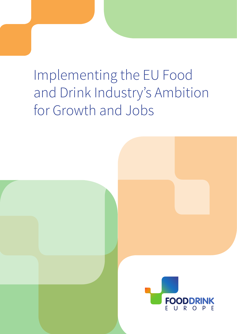# Implementing the EU Food and Drink Industry's Ambition for Growth and Jobs

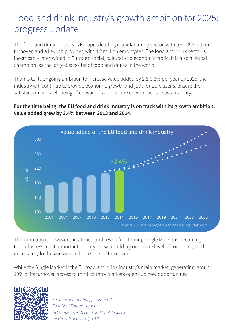### Food and drink industry's growth ambition for 2025: progress update

The food and drink industry is Europe's leading manufacturing sector, with a  $\epsilon$ 1,098 billion turnover, and a key job provider, with 4.2 million employees. The food and drink sector is inextricably intertwined in Europe's social, cultural and economic fabric. It is also a global champion, as the largest exporter of food and drinks in the world.

Thanks to its ongoing ambition to increase value added by 2.5-3.5% per year by 2025, the industry will continue to provide economic growth and jobs for EU citizens, ensure the satisfaction and well-being of consumers and secure environmental sustainability.

#### **For the time being, the EU food and drink industry is on track with its growth ambition: value added grew by 3.4% between 2013 and 2014.**



This ambition is however threatened and a well-functioning Single Market is becoming the industry's most important priority. Brexit is adding one more level of complexity and uncertainty for businesses on both sides of the channel.

While the Single Market is the EU food and drink industry's main market, generating around 90% of its turnover, access to third country markets opens up new opportunities.



*For more information, please read FoodDrinkEurope's report "A Competitive EU Food and Drink Industry for Growth and Jobs", 2016.*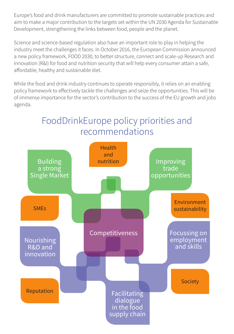Europe's food and drink manufacturers are committed to promote sustainable practices and aim to make a major contribution to the targets set within the UN 2030 Agenda for Sustainable Development, strengthening the links between food, people and the planet.

Science and science-based regulation also have an important role to play in helping the industry meet the challenges it faces. In October 2016, the European Commission announced a new policy framework, FOOD 2030, to better structure, connect and scale-up Research and Innovation (R&I) for food and nutrition security that will help every consumer attain a safe, affordable, healthy and sustainable diet.

While the food and drink industry continues to operate responsibly, it relies on an enabling policy framework to effectively tackle the challenges and seize the opportunities. This will be of immense importance for the sector's contribution to the success of the EU growth and jobs agenda.

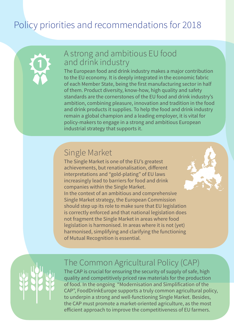## Policy priorities and recommendations for 2018



#### A strong and ambitious EU food and drink industry

The European food and drink industry makes a major contribution to the EU economy. It is deeply integrated in the economic fabric of each Member State, being the first manufacturing sector in half of them. Product diversity, know-how, high quality and safety standards are the cornerstones of the EU food and drink industry's ambition, combining pleasure, innovation and tradition in the food and drink products it supplies. To help the food and drink industry remain a global champion and a leading employer, it is vital for policy-makers to engage in a strong and ambitious European industrial strategy that supports it.

#### Single Market

The Single Market is one of the EU's greatest achievements, but renationalisation, different interpretations and "gold-plating" of EU laws increasingly lead to barriers for food and drink companies within the Single Market. In the context of an ambitious and comprehensive Single Market strategy, the European Commission should step up its role to make sure that EU legislation is correctly enforced and that national legislation does not fragment the Single Market in areas where food legislation is harmonised. In areas where it is not (yet) harmonised, simplifying and clarifying the functioning of Mutual Recognition is essential.



#### The Common Agricultural Policy (CAP)

The CAP is crucial for ensuring the security of supply of safe, high quality and competitively priced raw materials for the production of food. In the ongoing "Modernisation and Simplification of the CAP", FoodDrinkEurope supports a truly common agricultural policy, to underpin a strong and well-functioning Single Market. Besides, the CAP must promote a market-oriented agriculture, as the most efficient approach to improve the competitiveness of EU farmers.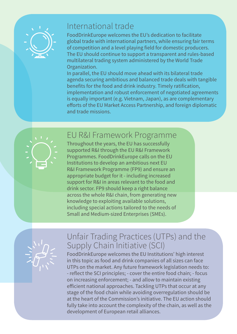

#### International trade

FoodDrinkEurope welcomes the EU's dedication to facilitate global trade with international partners, while ensuring fair terms of competition and a level playing field for domestic producers. The EU should continue to support a transparent and rules-based multilateral trading system administered by the World Trade Organization.

In parallel, the EU should move ahead with its bilateral trade agenda securing ambitious and balanced trade deals with tangible benefits for the food and drink industry. Timely ratification, implementation and robust enforcement of negotiated agreements is equally important (e.g. Vietnam, Japan), as are complementary efforts of the EU Market Access Partnership, and foreign diplomatic and trade missions.



#### EU R&I Framework Programme

Throughout the years, the EU has successfully supported R&I through the EU R&I Framework Programmes. FoodDrinkEurope calls on the EU Institutions to develop an ambitious next EU R&I Framework Programme (FP9) and ensure an appropriate budget for it - including increased support for R&I in areas relevant to the food and drink sector. FP9 should keep a right balance across the whole R&I chain, from generating new knowledge to exploiting available solutions, including special actions tailored to the needs of Small and Medium-sized Enterprises (SMEs).



#### Unfair Trading Practices (UTPs) and the Supply Chain Initiative (SCI)

FoodDrinkEurope welcomes the EU Institutions' high interest in this topic as food and drink companies of all sizes can face UTPs on the market. Any future framework legislation needs to: - reflect the SCI principles; - cover the entire food chain; - focus on increasing enforcement; - and allow to maintain existing efficient national approaches. Tackling UTPs that occur at any stage of the food chain while avoiding overregulation should be at the heart of the Commission's initiative. The EU action should fully take into account the complexity of the chain, as well as the development of European retail alliances.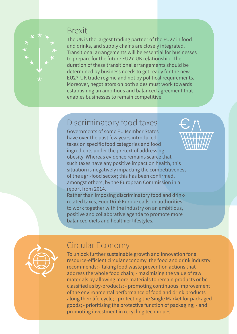#### Brexit

The UK is the largest trading partner of the EU27 in food and drinks, and supply chains are closely integrated. Transitional arrangements will be essential for businesses to prepare for the future EU27-UK relationship. The duration of these transitional arrangements should be determined by business needs to get ready for the new EU27-UK trade regime and not by political requirements. Moreover, negotiators on both sides must work towards establishing an ambitious and balanced agreement that enables businesses to remain competitive.

#### Discriminatory food taxes

Governments of some EU Member States have over the past few years introduced taxes on specific food categories and food ingredients under the pretext of addressing obesity. Whereas evidence remains scarce that such taxes have any positive impact on health, this situation is negatively impacting the competitiveness of the agri-food sector; this has been confirmed, amongst others, by the European Commission in a report from 2014.

Rather than imposing discriminatory food and drinkrelated taxes, FoodDrinkEurope calls on authorities to work together with the industry on an ambitious, positive and collaborative agenda to promote more balanced diets and healthier lifestyles.



#### Circular Economy

To unlock further sustainable growth and innovation for a resource-efficient circular economy, the food and drink industry recommends: - taking food waste prevention actions that address the whole food chain; - maximising the value of raw materials by allowing more materials to remain products or be classified as by-products; - promoting continuous improvement of the environmental performance of food and drink products along their life-cycle; - protecting the Single Market for packaged goods; - prioritising the protective function of packaging; - and promoting investment in recycling techniques.

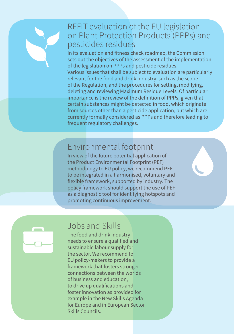

#### REFIT evaluation of the EU legislation on Plant Protection Products (PPPs) and pesticides residues

In its evaluation and fitness check roadmap, the Commission sets out the objectives of the assessment of the implementation of the legislation on PPPs and pesticide residues. Various issues that shall be subject to evaluation are particularly relevant for the food and drink industry, such as the scope of the Regulation, and the procedures for setting, modifying, deleting and reviewing Maximum Residue Levels. Of particular importance is the review of the definition of PPPs, given that certain substances might be detected in food, which originate from sources other than a pesticide application, but which are currently formally considered as PPPs and therefore leading to frequent regulatory challenges.

#### Environmental footprint

In view of the future potential application of the Product Environmental Footprint (PEF) methodology to EU policy, we recommend PEF to be integrated in a harmonised, voluntary and flexible framework, supported by industry. The policy framework should support the use of PEF as a diagnostic tool for identifying hotspots and promoting continuous improvement.



#### Jobs and Skills

The food and drink industry needs to ensure a qualified and sustainable labour supply for the sector. We recommend to EU policy-makers to provide a framework that fosters stronger connections between the worlds of business and education, to drive up qualifications and foster innovation as provided for example in the New Skills Agenda for Europe and in European Sector Skills Councils.